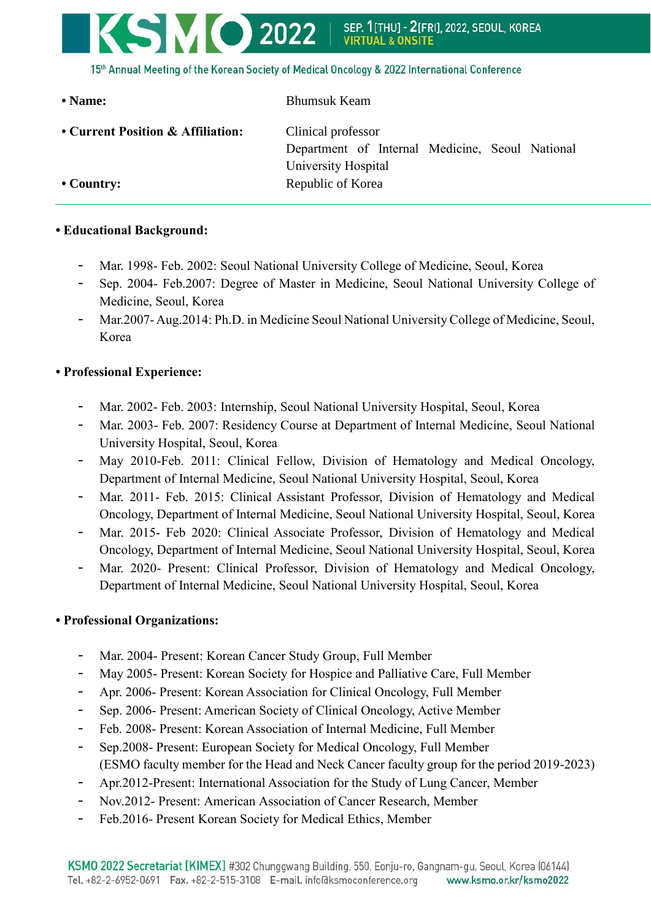

| • Name:                           | <b>Bhumsuk Keam</b>                             |
|-----------------------------------|-------------------------------------------------|
| • Current Position & Affiliation: | Clinical professor                              |
|                                   | Department of Internal Medicine, Seoul National |
|                                   | University Hospital                             |
| $\cdot$ Country:                  | Republic of Korea                               |

## **• Educational Background:**

- Mar. 1998- Feb. 2002: Seoul National University College of Medicine, Seoul, Korea
- Sep. 2004- Feb.2007: Degree of Master in Medicine, Seoul National University College of Medicine, Seoul, Korea
- Mar.2007- Aug.2014: Ph.D. in Medicine Seoul National University College of Medicine, Seoul, Korea

## **• Professional Experience:**

- Mar. 2002- Feb. 2003: Internship, Seoul National University Hospital, Seoul, Korea
- Mar. 2003- Feb. 2007: Residency Course at Department of Internal Medicine, Seoul National University Hospital, Seoul, Korea
- May 2010-Feb. 2011: Clinical Fellow, Division of Hematology and Medical Oncology, Department of Internal Medicine, Seoul National University Hospital, Seoul, Korea
- Mar. 2011- Feb. 2015: Clinical Assistant Professor, Division of Hematology and Medical Oncology, Department of Internal Medicine, Seoul National University Hospital, Seoul, Korea
- Mar. 2015- Feb 2020: Clinical Associate Professor, Division of Hematology and Medical Oncology, Department of Internal Medicine, Seoul National University Hospital, Seoul, Korea
- Mar. 2020- Present: Clinical Professor, Division of Hematology and Medical Oncology, Department of Internal Medicine, Seoul National University Hospital, Seoul, Korea

## **• Professional Organizations:**

- Mar. 2004- Present: Korean Cancer Study Group, Full Member
- May 2005- Present: Korean Society for Hospice and Palliative Care, Full Member
- Apr. 2006- Present: Korean Association for Clinical Oncology, Full Member
- Sep. 2006- Present: American Society of Clinical Oncology, Active Member
- Feb. 2008- Present: Korean Association of Internal Medicine, Full Member
- Sep.2008- Present: European Society for Medical Oncology, Full Member (ESMO faculty member for the Head and Neck Cancer faculty group for the period 2019-2023)
- Apr.2012-Present: International Association for the Study of Lung Cancer, Member
- Nov.2012- Present: American Association of Cancer Research, Member
- Feb.2016- Present Korean Society for Medical Ethics, Member